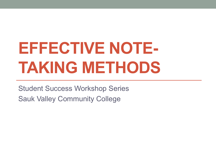# **EFFECTIVE NOTE-TAKING METHODS**

Student Success Workshop Series Sauk Valley Community College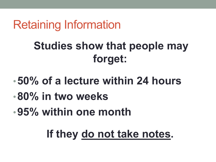## Retaining Information

## **Studies show that people may forget:**

- •**50% of a lecture within 24 hours**
- •**80% in two weeks**
- •**95% within one month**

## **If they do not take notes.**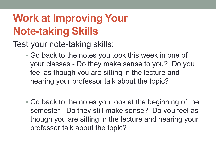## **Work at Improving Your Note-taking Skills**

Test your note-taking skills:

- Go back to the notes you took this week in one of your classes - Do they make sense to you? Do you feel as though you are sitting in the lecture and hearing your professor talk about the topic?
- Go back to the notes you took at the beginning of the semester - Do they still make sense? Do you feel as though you are sitting in the lecture and hearing your professor talk about the topic?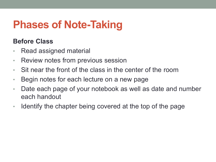### **Phases of Note-Taking**

#### **Before Class**

- Read assigned material
- Review notes from previous session
- Sit near the front of the class in the center of the room
- Begin notes for each lecture on a new page
- Date each page of your notebook as well as date and number each handout
- Identify the chapter being covered at the top of the page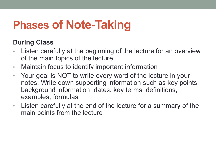## **Phases of Note-Taking**

#### **During Class**

- Listen carefully at the beginning of the lecture for an overview of the main topics of the lecture
- Maintain focus to identify important information
- Your goal is NOT to write every word of the lecture in your notes. Write down supporting information such as key points, background information, dates, key terms, definitions, examples, formulas
- Listen carefully at the end of the lecture for a summary of the main points from the lecture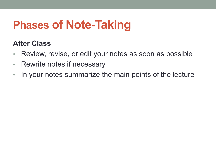## **Phases of Note-Taking**

#### **After Class**

- Review, revise, or edit your notes as soon as possible
- Rewrite notes if necessary
- In your notes summarize the main points of the lecture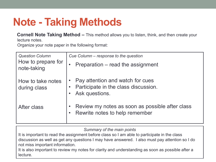## **Note - Taking Methods**

**Cornell Note Taking Method –** This method allows you to listen, think, and then create your lecture notes.

Organize your note paper in the following format:

| <b>Question Column</b><br>How to prepare for<br>note-taking | Cue Column – response to the question                                                      |
|-------------------------------------------------------------|--------------------------------------------------------------------------------------------|
|                                                             | Preparation – read the assignment                                                          |
| How to take notes<br>during class                           | Pay attention and watch for cues<br>Participate in the class discussion.<br>Ask questions. |
| After class                                                 | Review my notes as soon as possible after class<br>Rewrite notes to help remember          |

*Summary of the main points*

It is important to read the assignment before class so I am able to participate in the class discussion as well as get any questions I may have answered. I also must pay attention so I do not miss important information.

It is also important to review my notes for clarity and understanding as soon as possible after a lecture.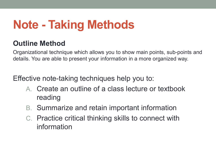## **Note - Taking Methods**

### **Outline Method**

Organizational technique which allows you to show main points, sub-points and details. You are able to present your information in a more organized way.

Effective note-taking techniques help you to:

- A. Create an outline of a class lecture or textbook reading
- B. Summarize and retain important information
- C. Practice critical thinking skills to connect with information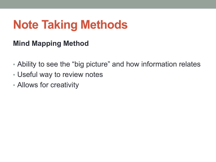## **Note Taking Methods**

### **Mind Mapping Method**

- Ability to see the "big picture" and how information relates
- Useful way to review notes
- Allows for creativity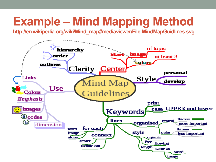## **Example – Mind Mapping Method**

**http://en.wikipedia.org/wiki/Mind\_map#mediaviewer/File:MindMapGuidlines.svg**

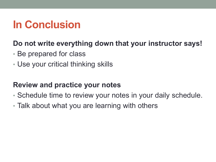### **In Conclusion**

#### **Do not write everything down that your instructor says!**

- Be prepared for class
- Use your critical thinking skills

#### **Review and practice your notes**

- Schedule time to review your notes in your daily schedule.
- Talk about what you are learning with others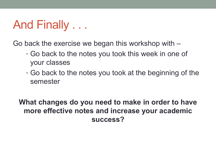## And Finally . . .

Go back the exercise we began this workshop with –

- Go back to the notes you took this week in one of your classes
- Go back to the notes you took at the beginning of the semester

**What changes do you need to make in order to have more effective notes and increase your academic success?**